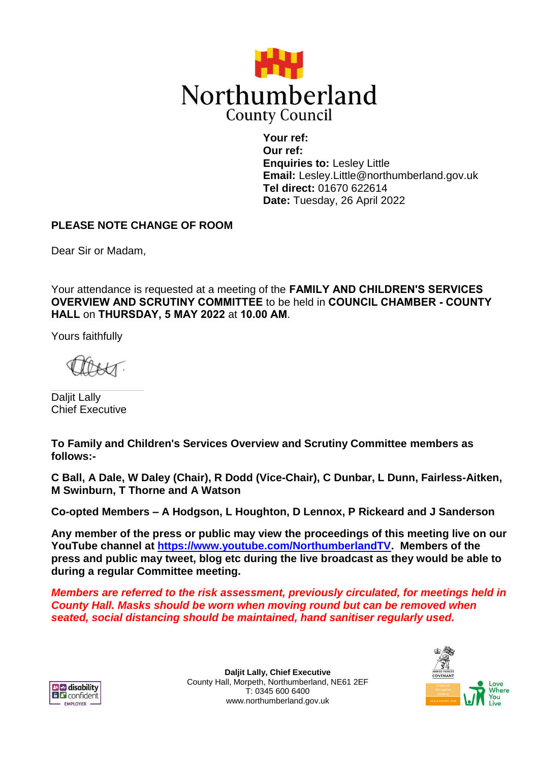

**Your ref: Our ref: Enquiries to:** Lesley Little **Email:** Lesley.Little@northumberland.gov.uk **Tel direct:** 01670 622614 **Date:** Tuesday, 26 April 2022

# **PLEASE NOTE CHANGE OF ROOM**

Dear Sir or Madam,

Your attendance is requested at a meeting of the **FAMILY AND CHILDREN'S SERVICES OVERVIEW AND SCRUTINY COMMITTEE** to be held in **COUNCIL CHAMBER - COUNTY HALL** on **THURSDAY, 5 MAY 2022** at **10.00 AM**.

Yours faithfully

Daljit Lally Chief Executive

**To Family and Children's Services Overview and Scrutiny Committee members as follows:-**

**C Ball, A Dale, W Daley (Chair), R Dodd (Vice-Chair), C Dunbar, L Dunn, Fairless-Aitken, M Swinburn, T Thorne and A Watson**

**Co-opted Members – A Hodgson, L Houghton, D Lennox, P Rickeard and J Sanderson**

**Any member of the press or public may view the proceedings of this meeting live on our YouTube channel at [https://www.youtube.com/NorthumberlandTV.](https://www.youtube.com/NorthumberlandTV) Members of the press and public may tweet, blog etc during the live broadcast as they would be able to during a regular Committee meeting.**

*Members are referred to the risk assessment, previously circulated, for meetings held in County Hall. Masks should be worn when moving round but can be removed when seated, social distancing should be maintained, hand sanitiser regularly used.*



**Daljit Lally, Chief Executive** County Hall, Morpeth, Northumberland, NE61 2EF T: 0345 600 6400 www.northumberland.gov.uk

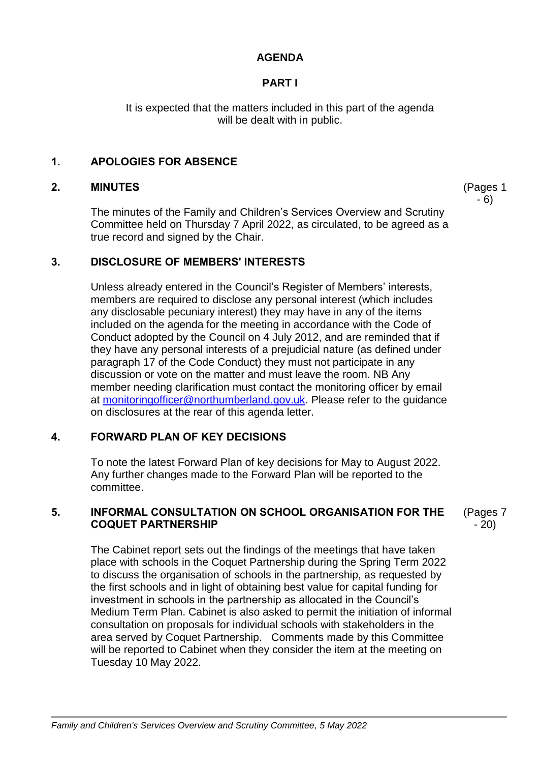## **AGENDA**

# **PART I**

It is expected that the matters included in this part of the agenda will be dealt with in public.

## **1. APOLOGIES FOR ABSENCE**

### **2. MINUTES**

The minutes of the Family and Children's Services Overview and Scrutiny Committee held on Thursday 7 April 2022, as circulated, to be agreed as a true record and signed by the Chair.

### **3. DISCLOSURE OF MEMBERS' INTERESTS**

Unless already entered in the Council's Register of Members' interests, members are required to disclose any personal interest (which includes any disclosable pecuniary interest) they may have in any of the items included on the agenda for the meeting in accordance with the Code of Conduct adopted by the Council on 4 July 2012, and are reminded that if they have any personal interests of a prejudicial nature (as defined under paragraph 17 of the Code Conduct) they must not participate in any discussion or vote on the matter and must leave the room. NB Any member needing clarification must contact the monitoring officer by email at [monitoringofficer@northumberland.gov.uk.](mailto:monitoringofficer@northumberland.gov.uk) Please refer to the guidance on disclosures at the rear of this agenda letter.

## **4. FORWARD PLAN OF KEY DECISIONS**

To note the latest Forward Plan of key decisions for May to August 2022. Any further changes made to the Forward Plan will be reported to the committee.

## **5. INFORMAL CONSULTATION ON SCHOOL ORGANISATION FOR THE COQUET PARTNERSHIP**

(Pages 7 - 20)

(Pages 1 - 6)

The Cabinet report sets out the findings of the meetings that have taken place with schools in the Coquet Partnership during the Spring Term 2022 to discuss the organisation of schools in the partnership, as requested by the first schools and in light of obtaining best value for capital funding for investment in schools in the partnership as allocated in the Council's Medium Term Plan. Cabinet is also asked to permit the initiation of informal consultation on proposals for individual schools with stakeholders in the area served by Coquet Partnership. Comments made by this Committee will be reported to Cabinet when they consider the item at the meeting on Tuesday 10 May 2022.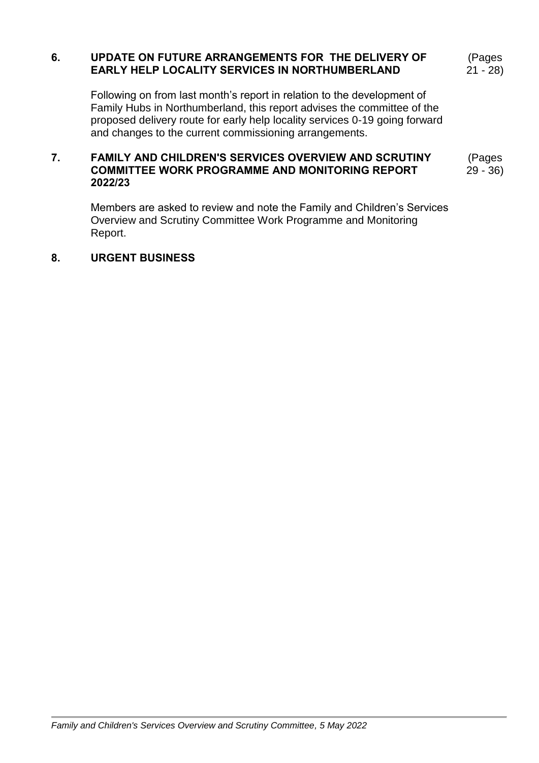## **6. UPDATE ON FUTURE ARRANGEMENTS FOR THE DELIVERY OF EARLY HELP LOCALITY SERVICES IN NORTHUMBERLAND**

(Pages 21 - 28)

Following on from last month's report in relation to the development of Family Hubs in Northumberland, this report advises the committee of the proposed delivery route for early help locality services 0-19 going forward and changes to the current commissioning arrangements.

#### **7. FAMILY AND CHILDREN'S SERVICES OVERVIEW AND SCRUTINY COMMITTEE WORK PROGRAMME AND MONITORING REPORT 2022/23** (Pages 29 - 36)

Members are asked to review and note the Family and Children's Services Overview and Scrutiny Committee Work Programme and Monitoring Report.

#### **8. URGENT BUSINESS**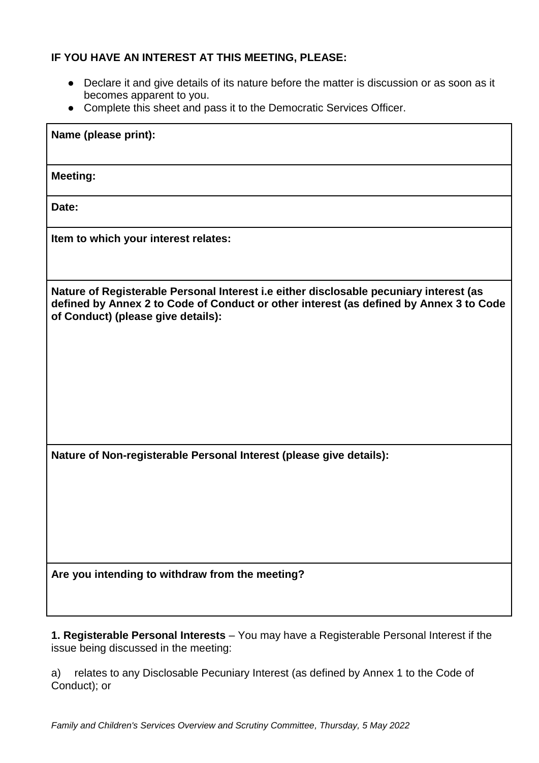## **IF YOU HAVE AN INTEREST AT THIS MEETING, PLEASE:**

- Declare it and give details of its nature before the matter is discussion or as soon as it becomes apparent to you.
- Complete this sheet and pass it to the Democratic Services Officer.

| Name (please print):                                                                                                                                                                                                   |
|------------------------------------------------------------------------------------------------------------------------------------------------------------------------------------------------------------------------|
| <b>Meeting:</b>                                                                                                                                                                                                        |
| Date:                                                                                                                                                                                                                  |
| Item to which your interest relates:                                                                                                                                                                                   |
| Nature of Registerable Personal Interest i.e either disclosable pecuniary interest (as<br>defined by Annex 2 to Code of Conduct or other interest (as defined by Annex 3 to Code<br>of Conduct) (please give details): |
| Nature of Non-registerable Personal Interest (please give details):                                                                                                                                                    |
| Are you intending to withdraw from the meeting?                                                                                                                                                                        |

**1. Registerable Personal Interests** – You may have a Registerable Personal Interest if the issue being discussed in the meeting:

a) relates to any Disclosable Pecuniary Interest (as defined by Annex 1 to the Code of Conduct); or